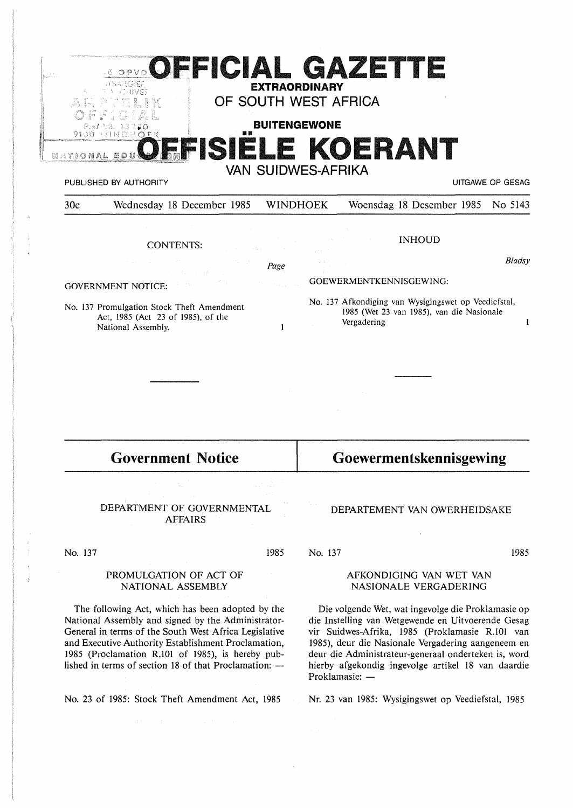|                                                                                                        | OFFICIAL GAZETTE<br>SARGIEZ<br>CHIVE?<br>-8.<br>VINDHOEK | <b>EXTRAORDINARY</b><br><b>BUITENGEWONE</b><br><b>VAN SUIDWES-AFRIKA</b> |                         | OF SOUTH WEST AFRICA<br>FISIELE KOERANT                                                                          |  |                  |
|--------------------------------------------------------------------------------------------------------|----------------------------------------------------------|--------------------------------------------------------------------------|-------------------------|------------------------------------------------------------------------------------------------------------------|--|------------------|
|                                                                                                        | PUBLISHED BY AUTHORITY                                   |                                                                          |                         |                                                                                                                  |  | UITGAWE OP GESAG |
| 30c                                                                                                    | Wednesday 18 December 1985                               | <b>WINDHOEK</b>                                                          |                         | Woensdag 18 Desember 1985                                                                                        |  | No 5143          |
|                                                                                                        | <b>CONTENTS:</b>                                         |                                                                          |                         | <b>INHOUD</b>                                                                                                    |  |                  |
|                                                                                                        |                                                          | Page                                                                     |                         |                                                                                                                  |  | Bladsy           |
| <b>GOVERNMENT NOTICE:</b>                                                                              |                                                          |                                                                          | GOEWERMENTKENNISGEWING: |                                                                                                                  |  |                  |
| No. 137 Promulgation Stock Theft Amendment<br>Act, 1985 (Act 23 of 1985), of the<br>National Assembly. |                                                          | $\mathbf{1}$                                                             |                         | No. 137 Afkondiging van Wysigingswet op Veediefstal,<br>1985 (Wet 23 van 1985), van die Nasionale<br>Vergadering |  | -1               |
|                                                                                                        |                                                          |                                                                          |                         |                                                                                                                  |  |                  |
|                                                                                                        |                                                          |                                                                          |                         |                                                                                                                  |  |                  |
|                                                                                                        |                                                          |                                                                          |                         |                                                                                                                  |  |                  |
|                                                                                                        |                                                          | Goewermentskennisgewing                                                  |                         |                                                                                                                  |  |                  |

DEPARTMENT OF GOVERNMENTAL AFFAIRS

No. 137

## PROMULGATION OF ACT OF NATIONAL ASSEMBLY

The following Act, which has been adopted by the National Assembly and signed by the Administrator-General in terms of the South West Africa Legislative and Executive Authority Establishment Proclamation, 1985 (Proclamation R.101 of 1985), is hereby published in terms of section 18 of that Proclamation:  $-$ 

No. 23 of 1985: Stock Theft Amendment Act, 1985

No. 137

1985

1985

## AFKONDIGING VAN WET VAN NASIONALE VERGADERING

DEPARTEMENT VAN OWERHEIDSAKE

Die volgende Wet, wat ingevolge die Proklamasie op die Instelling van Wetgewende en Uitvoerende Gesag vir Suidwes-Afrika, 1985 (Proklamasie R.101 van 1985), deur die Nasionale Vergadering aangeneem en deur die Administrateur-generaal onderteken is, word hierby afgekondig ingevolge artikel 18 van daardie Proklamasie: -

Nr. 23 van 1985: Wysigingswet op Veediefstal, 1985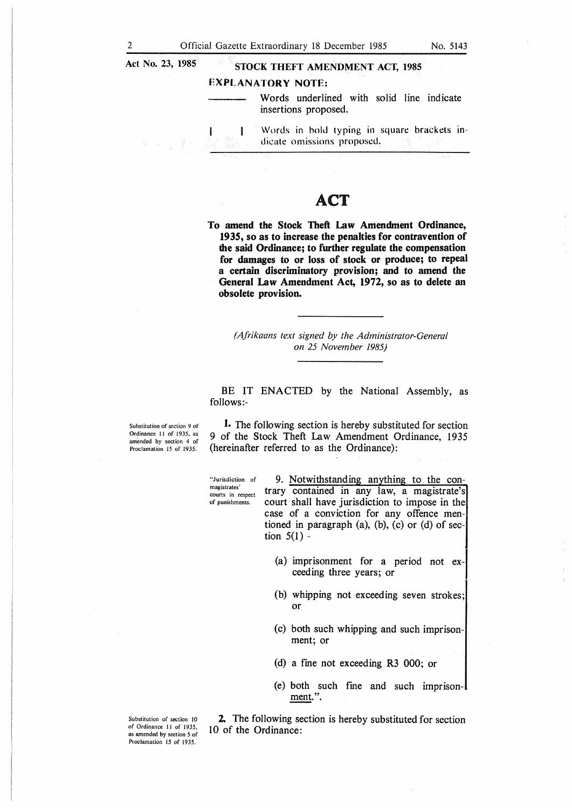l

# Act No. 23, 1985 **STOCK THEFT AMENDMENT ACT, 1985**

## **EXPLANATORY NOTE:**

Words underlined with solid line indicate insertions proposed.

## ACT

**To amend the Stock Theft Law Amendment Ordinance, 1935, so as to increase the penalties for contravention of the said Ordinance; to further regulate the compensation for damages to or loss of stock or produce; to repeal a certain discriminatory provision; and to amend the General Law Amendment Act, 1972, so as to delete an obsolete provision.** 

*(Afrikaans text signed by the Administrator-General on 25 November 1985)* 

BE IT ENACTED by the National Assembly, as follows:-

Substitution of section 9 of Ordinance 11 of 1935, as amended by section 4 of Proclamation 15 of 1935.

1. The following section is hereby substituted for section 9 of the Stock Theft Law Amendment Ordinance, 1935 (hereinafter referred to as the Ordinance):

"Jurisdiction of magistrates' courts in respect of punishments.

9. Notwithstanding anything to the contrary contained in any law, a magistrate's court shall have jurisdiction to impose in the case of a conviction for any offence mentioned in paragraph (a), (b), (c) or (d) of section  $5(1)$  -

- (a) imprisonment for a period not exceeding three years; or
- (b) whipping not exceeding seven strokes; or
- (c) both such whipping and such imprisonment; or
- (d) a fine not exceeding R3 000; or
- (e) both such fine and such imprisonment.".

2. The following section is hereby substituted for section 10 of the Ordinance:

Substitution of section IO of Ordinance 11 of 1935, as amended by section *5* of Proclamation 15 of 1935.

Words in bold typing in square brackets inł dicate omissions proposed.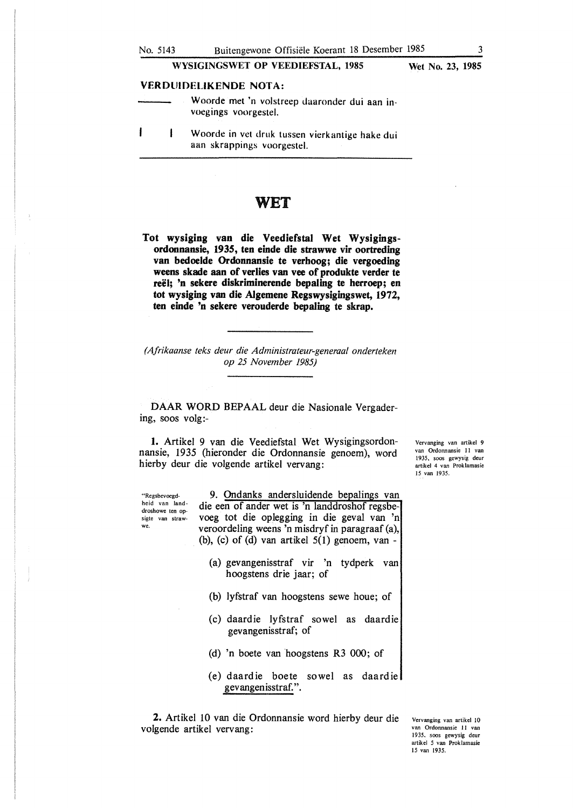## WYSIGINGSWET OP VEEDIEFSTAL, 1985 Wet No. 23, 1985

### **VERDlJIOF.UKENDE NOTA:**

- Woorde met 'n volstreep daaronder dui aan invoegings voorgestel.
- $\mathbf{I}$  $\mathbf{I}$ Woorde in vet druk tussen vierkantige hake dui aan skrappings voorgestel.

# WET

**Tot wysiging van die Veediefstal Wet Wysigingsordonnansie, 1935, ten einde die strawwe vir oortreding van bedoelde Ordonnansie te verhoog; die vergoeding weens skade aan of verlies van vee of produkte verder te reel; 'n sekere diskriminerende bepaling te herroep; en tot wysiging van die AJgemene Regswysigingswet, 1972, ten einde 'n sekere verouderde bepaling te skrap.** 

*(Afrikaanse teks deur die Administrateur-generaal onderteken op 25 November 1985)* 

DAAR WORD BEPAAL deur die Nasionale Vergadering, soos volg:-

1. Artikel 9 van die Veediefstal Wet Wysigingsordonnansie, 1935 (hieronder die Ordonnansie genoem), word hierby deur die volgende artikel vervang:

"Regsbevoegdheid van landdroshowe ten opsigte van strawwe.

9. Ondanks andersluidende bepalings van die een of ander wet is 'n landdroshof regsbevoeg tot die oplegging in die geval van 'n veroordeling weens 'n misdryf in paragraaf (a), (b), (c) of (d) van artikel  $5(1)$  genoem, van -

- (a) gevangenisstraf vir 'n tydperk van hoogstens drie jaar; of
- (b) lyfstraf van hoogstens sewe houe; of
- (c) daardie lyfstraf sowel as daardie gevangenisstraf; of
- (d) 'n boete van hoogstens R3 000; of
- (e) daardie boete sowel as daardie gevangenisstraf.".

2. Artikel 10 van die Ordonnansie word hierby deur die volgende artikel vervang:

Vervanging van artikel IO van Ordonnansie 11 van 1935, soos gewysig deur artikel *5* van Proklamasie 15 van 1935.

Vervanging van artikel 9 van Ordonnansie 11 van 1935, soos gewysig deur artikel 4 van Proklamasie 15 van 1935.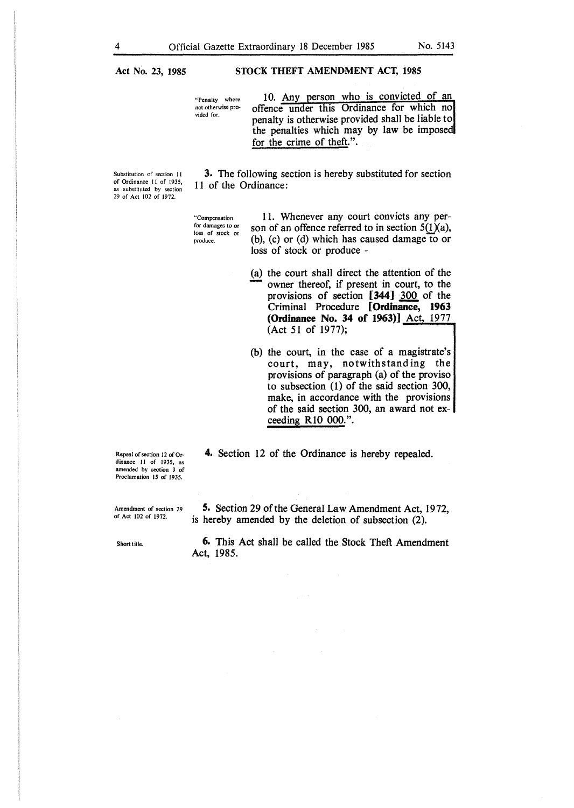**Act No. 23, 1985** 

## **STOCK THEFT AMENDMENT ACT, 1985**

"Penalty where not otherwise provided for.

10. Any person who is convicted of an offence under this Ordinance for which no penalty is otherwise provided shall be liable to the penalties which may by law be imposed for the crime of theft.".

Substitution of section 11 of Ordinance 11 of 1935, as substituted by section 29 of Act 102 of 1972.

3. The following section is hereby substituted for section 11 of the Ordinance:

'"Compensation for damages to or loss of stock or produce.

11. Whenever any court convicts any person of an offence referred to in section  $5(1)(a)$ , (b), (c) or (d) which has caused damage to or loss of stock or produce -

- (a) the court shall direct the attention of the owner thereof, if present in court, to the provisions of section [344] 300 of the Criminal Procedure [ **Ordinance, 1963 (Ordinance No. 34 of 1963)]** Act, 1977 (Act 51 of 1977);
- (b) the court, in the case of a magistrate's court, may, notwithstanding the provisions of paragraph (a) of the proviso to subsection (1) of the said section 300, make, in accordance with the provisions of the said section 300, an award not exceeding R10 000.".
- 4. Section 12 of the Ordinance is hereby repealed.

Repeal of section 12 of Ordinance II of 1935, as amended by section 9 of Proclamation 15 of 1935.

Amendment of section 29 of Act 102 of 1972.

5. Section 29 of the General Law Amendment Act, 1972, is hereby amended by the deletion of subsection (2).

Short title.

6. This Act shall be called the Stock Theft Amendment Act, 1985.